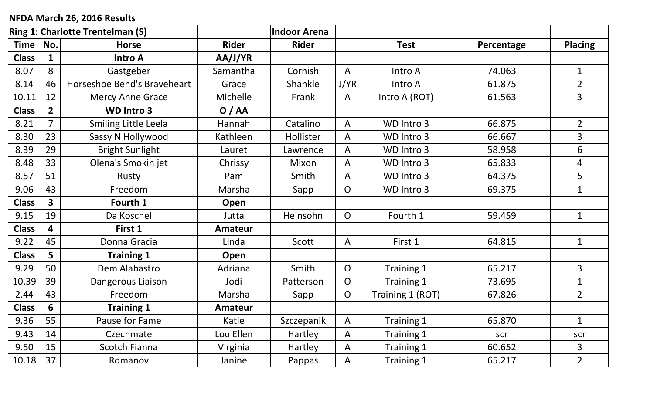## **NFDA March 26, 2016 Results**

| <b>Ring 1: Charlotte Trentelman (S)</b> |                |                             | <b>Indoor Arena</b> |              |                |                  |            |                |
|-----------------------------------------|----------------|-----------------------------|---------------------|--------------|----------------|------------------|------------|----------------|
| <b>Time</b>                             | No.            | <b>Horse</b>                | <b>Rider</b>        | <b>Rider</b> |                | <b>Test</b>      | Percentage | <b>Placing</b> |
| <b>Class</b>                            | 1              | <b>Intro A</b>              | AA/J/YR             |              |                |                  |            |                |
| 8.07                                    | 8              | Gastgeber                   | Samantha            | Cornish      | A              | Intro A          | 74.063     | $\mathbf 1$    |
| 8.14                                    | 46             | Horseshoe Bend's Braveheart | Grace               | Shankle      | J/YR           | Intro A          | 61.875     | $\overline{2}$ |
| 10.11                                   | 12             | <b>Mercy Anne Grace</b>     | <b>Michelle</b>     | Frank        | A              | Intro A (ROT)    | 61.563     | 3              |
| <b>Class</b>                            | $\overline{2}$ | <b>WD Intro 3</b>           | O/AA                |              |                |                  |            |                |
| 8.21                                    | $\overline{7}$ | Smiling Little Leela        | Hannah              | Catalino     | A              | WD Intro 3       | 66.875     | $\overline{2}$ |
| 8.30                                    | 23             | Sassy N Hollywood           | Kathleen            | Hollister    | A              | WD Intro 3       | 66.667     | $\overline{3}$ |
| 8.39                                    | 29             | <b>Bright Sunlight</b>      | Lauret              | Lawrence     | A              | WD Intro 3       | 58.958     | 6              |
| 8.48                                    | 33             | Olena's Smokin jet          | Chrissy             | Mixon        | A              | WD Intro 3       | 65.833     | 4              |
| 8.57                                    | 51             | Rusty                       | Pam                 | Smith        | A              | WD Intro 3       | 64.375     | 5              |
| 9.06                                    | 43             | Freedom                     | Marsha              | Sapp         | O              | WD Intro 3       | 69.375     | $\mathbf 1$    |
| <b>Class</b>                            | $\mathbf{3}$   | Fourth 1                    | Open                |              |                |                  |            |                |
| 9.15                                    | 19             | Da Koschel                  | Jutta               | Heinsohn     | $\overline{O}$ | Fourth 1         | 59.459     | $\mathbf{1}$   |
| <b>Class</b>                            | 4              | First 1                     | <b>Amateur</b>      |              |                |                  |            |                |
| 9.22                                    | 45             | Donna Gracia                | Linda               | Scott        | A              | First 1          | 64.815     | $\mathbf{1}$   |
| <b>Class</b>                            | 5              | <b>Training 1</b>           | Open                |              |                |                  |            |                |
| 9.29                                    | 50             | Dem Alabastro               | Adriana             | Smith        | $\overline{O}$ | Training 1       | 65.217     | 3              |
| 10.39                                   | 39             | Dangerous Liaison           | Jodi                | Patterson    | $\overline{O}$ | Training 1       | 73.695     | $\mathbf{1}$   |
| 2.44                                    | 43             | Freedom                     | Marsha              | Sapp         | $\overline{O}$ | Training 1 (ROT) | 67.826     | $\overline{2}$ |
| <b>Class</b>                            | 6              | <b>Training 1</b>           | <b>Amateur</b>      |              |                |                  |            |                |
| 9.36                                    | 55             | Pause for Fame              | Katie               | Szczepanik   | A              | Training 1       | 65.870     | $\mathbf 1$    |
| 9.43                                    | 14             | Czechmate                   | Lou Ellen           | Hartley      | A              | Training 1       | scr        | scr            |
| 9.50                                    | 15             | Scotch Fianna               | Virginia            | Hartley      | $\mathsf{A}$   | Training 1       | 60.652     | 3              |
| 10.18                                   | 37             | Romanov                     | Janine              | Pappas       | A              | Training 1       | 65.217     | $\overline{2}$ |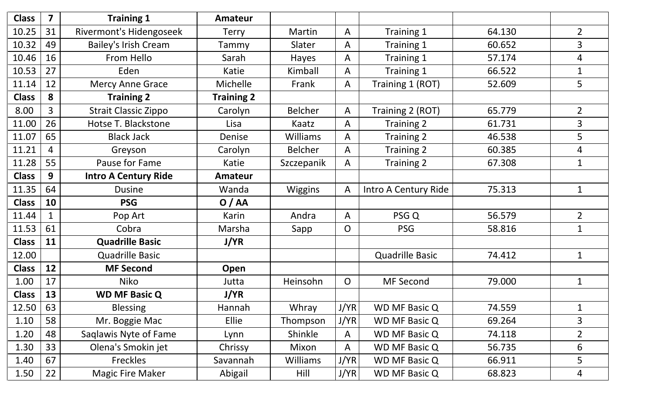| <b>Class</b> | $\overline{\mathbf{z}}$ | <b>Training 1</b>              | <b>Amateur</b>    |                 |                |                        |        |                |
|--------------|-------------------------|--------------------------------|-------------------|-----------------|----------------|------------------------|--------|----------------|
| 10.25        | 31                      | <b>Rivermont's Hidengoseek</b> | <b>Terry</b>      | Martin          | $\mathsf{A}$   | Training 1             | 64.130 | $2^{\circ}$    |
| 10.32        | 49                      | <b>Bailey's Irish Cream</b>    | Tammy             | Slater          | A              | Training 1             | 60.652 | 3              |
| 10.46        | 16                      | From Hello                     | Sarah             | Hayes           | A              | Training 1             | 57.174 | 4              |
| 10.53        | 27                      | Eden                           | Katie             | Kimball         | A              | Training 1             | 66.522 |                |
| 11.14        | 12                      | <b>Mercy Anne Grace</b>        | Michelle          | Frank           | A              | Training 1 (ROT)       | 52.609 | 5              |
| <b>Class</b> | 8                       | <b>Training 2</b>              | <b>Training 2</b> |                 |                |                        |        |                |
| 8.00         | $\overline{3}$          | <b>Strait Classic Zippo</b>    | Carolyn           | <b>Belcher</b>  | $\mathsf{A}$   | Training 2 (ROT)       | 65.779 | $\overline{2}$ |
| 11.00        | 26                      | Hotse T. Blackstone            | Lisa              | Kaatz           | A              | Training 2             | 61.731 | 3              |
| 11.07        | 65                      | <b>Black Jack</b>              | Denise            | <b>Williams</b> | A              | Training 2             | 46.538 | 5              |
| 11.21        | 4                       | Greyson                        | Carolyn           | <b>Belcher</b>  | A              | Training 2             | 60.385 | 4              |
| 11.28        | 55                      | Pause for Fame                 | Katie             | Szczepanik      | A              | Training 2             | 67.308 |                |
| <b>Class</b> | 9                       | <b>Intro A Century Ride</b>    | <b>Amateur</b>    |                 |                |                        |        |                |
| 11.35        | 64                      | <b>Dusine</b>                  | Wanda             | <b>Wiggins</b>  | A              | Intro A Century Ride   | 75.313 | $\mathbf{1}$   |
| <b>Class</b> | 10                      | <b>PSG</b>                     | O/AA              |                 |                |                        |        |                |
| 11.44        | $\mathbf{1}$            | Pop Art                        | Karin             | Andra           | $\mathsf{A}$   | PSG Q                  | 56.579 | $\overline{2}$ |
| 11.53        | 61                      | Cobra                          | Marsha            | Sapp            | $\mathsf{O}$   | <b>PSG</b>             | 58.816 |                |
| <b>Class</b> | 11                      | <b>Quadrille Basic</b>         | J/YR              |                 |                |                        |        |                |
| 12.00        |                         | <b>Quadrille Basic</b>         |                   |                 |                | <b>Quadrille Basic</b> | 74.412 | $\mathbf{1}$   |
| <b>Class</b> | 12                      | <b>MF Second</b>               | Open              |                 |                |                        |        |                |
| 1.00         | 17                      | Niko                           | Jutta             | Heinsohn        | $\overline{O}$ | <b>MF Second</b>       | 79.000 | $\mathbf{1}$   |
| <b>Class</b> | 13                      | <b>WD MF Basic Q</b>           | J/YR              |                 |                |                        |        |                |
| 12.50        | 63                      | <b>Blessing</b>                | Hannah            | Whray           | J/YR           | <b>WD MF Basic Q</b>   | 74.559 | $\mathbf{1}$   |
| 1.10         | 58                      | Mr. Boggie Mac                 | <b>Ellie</b>      | Thompson        | J/YR           | WD MF Basic Q          | 69.264 | $\overline{3}$ |
| 1.20         | 48                      | Saglawis Nyte of Fame          | Lynn              | Shinkle         | $\mathsf{A}$   | <b>WD MF Basic Q</b>   | 74.118 | $\overline{2}$ |
| 1.30         | 33                      | Olena's Smokin jet             | Chrissy           | Mixon           | $\mathsf{A}$   | <b>WD MF Basic Q</b>   | 56.735 | 6              |
| 1.40         | 67                      | Freckles                       | Savannah          | Williams        | J/YR           | <b>WD MF Basic Q</b>   | 66.911 | 5              |
| 1.50         | 22                      | <b>Magic Fire Maker</b>        | Abigail           | Hill            | J/YR           | <b>WD MF Basic Q</b>   | 68.823 | 4              |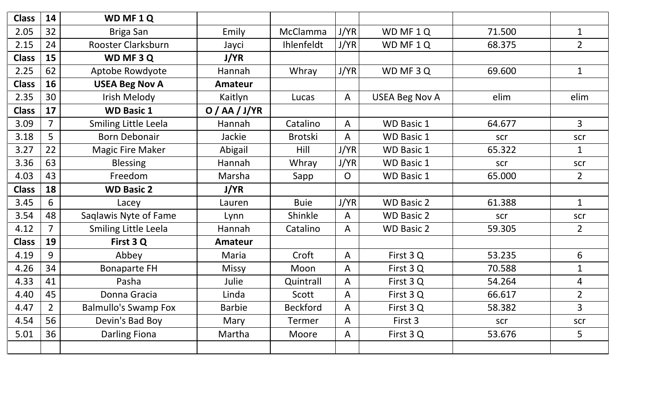| <b>Class</b> | 14             | WD MF 1 Q                   |                 |                   |              |                       |        |                |
|--------------|----------------|-----------------------------|-----------------|-------------------|--------------|-----------------------|--------|----------------|
| 2.05         | 32             | <b>Briga San</b>            | Emily           | McClamma          | J/YR         | WD MF 1Q              | 71.500 | $\mathbf{1}$   |
| 2.15         | 24             | Rooster Clarksburn          | Jayci           | <b>Ihlenfeldt</b> | J/YR         | WD MF 1Q              | 68.375 | $\overline{2}$ |
| <b>Class</b> | 15             | WD MF 3 Q                   | J/YR            |                   |              |                       |        |                |
| 2.25         | 62             | Aptobe Rowdyote             | Hannah          | Whray             | J/YR         | WD MF 3 Q             | 69.600 | $\mathbf 1$    |
| <b>Class</b> | 16             | <b>USEA Beg Nov A</b>       | Amateur         |                   |              |                       |        |                |
| 2.35         | 30             | Irish Melody                | Kaitlyn         | Lucas             | A            | <b>USEA Beg Nov A</b> | elim   | elim           |
| <b>Class</b> | 17             | <b>WD Basic 1</b>           | O / AA / J / YR |                   |              |                       |        |                |
| 3.09         | $\overline{7}$ | <b>Smiling Little Leela</b> | Hannah          | Catalino          | A            | <b>WD Basic 1</b>     | 64.677 | $\overline{3}$ |
| 3.18         | 5              | <b>Born Debonair</b>        | Jackie          | <b>Brotski</b>    | A            | <b>WD Basic 1</b>     | scr    | scr            |
| 3.27         | 22             | <b>Magic Fire Maker</b>     | Abigail         | Hill              | J/YR         | <b>WD Basic 1</b>     | 65.322 | $\mathbf{1}$   |
| 3.36         | 63             | <b>Blessing</b>             | Hannah          | Whray             | J/YR         | <b>WD Basic 1</b>     | scr    | scr            |
| 4.03         | 43             | Freedom                     | Marsha          | Sapp              | $\mathsf{O}$ | <b>WD Basic 1</b>     | 65.000 | $2^{\circ}$    |
|              |                |                             |                 |                   |              |                       |        |                |
| <b>Class</b> | 18             | <b>WD Basic 2</b>           | J/YR            |                   |              |                       |        |                |
| 3.45         | 6              | Lacey                       | Lauren          | <b>Buie</b>       | J/YR         | <b>WD Basic 2</b>     | 61.388 | $\mathbf{1}$   |
| 3.54         | 48             | Saqlawis Nyte of Fame       | Lynn            | Shinkle           | A            | <b>WD Basic 2</b>     | scr    | scr            |
| 4.12         | $\overline{7}$ | <b>Smiling Little Leela</b> | Hannah          | Catalino          | A            | <b>WD Basic 2</b>     | 59.305 | $2^{\circ}$    |
| <b>Class</b> | 19             | First 3 Q                   | <b>Amateur</b>  |                   |              |                       |        |                |
| 4.19         | 9              | Abbey                       | Maria           | Croft             | A            | First 3 Q             | 53.235 | 6              |
| 4.26         | 34             | <b>Bonaparte FH</b>         | <b>Missy</b>    | Moon              | A            | First 3 Q             | 70.588 | $\mathbf{1}$   |
| 4.33         | 41             | Pasha                       | Julie           | Quintrall         | A            | First 3 Q             | 54.264 | 4              |
| 4.40         | 45             | Donna Gracia                | Linda           | Scott             | A            | First 3 Q             | 66.617 | $\overline{2}$ |
| 4.47         | $2^{\circ}$    | <b>Balmullo's Swamp Fox</b> | <b>Barbie</b>   | <b>Beckford</b>   | A            | First 3Q              | 58.382 | $\overline{3}$ |
| 4.54         | 56             | Devin's Bad Boy             | Mary            | Termer            | A            | First 3               | scr    | scr            |
| 5.01         | 36             | Darling Fiona               | Martha          | Moore             | A            | First 3Q              | 53.676 | 5              |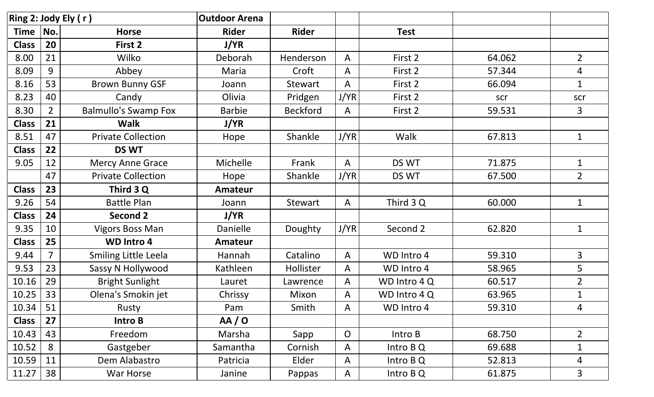| Ring 2: Jody Ely (r) |                |                             | <b>Outdoor Arena</b> |                 |                |              |        |                |
|----------------------|----------------|-----------------------------|----------------------|-----------------|----------------|--------------|--------|----------------|
| <b>Time</b>          | No.            | <b>Horse</b>                | <b>Rider</b>         | <b>Rider</b>    |                | <b>Test</b>  |        |                |
| <b>Class</b>         | 20             | First 2                     | J/YR                 |                 |                |              |        |                |
| 8.00                 | 21             | Wilko                       | Deborah              | Henderson       | $\mathsf{A}$   | First 2      | 64.062 | $\overline{2}$ |
| 8.09                 | 9              | Abbey                       | Maria                | Croft           | A              | First 2      | 57.344 | 4              |
| 8.16                 | 53             | <b>Brown Bunny GSF</b>      | Joann                | <b>Stewart</b>  | A              | First 2      | 66.094 | $\mathbf 1$    |
| 8.23                 | 40             | Candy                       | Olivia               | Pridgen         | J/YR           | First 2      | scr    | scr            |
| 8.30                 | $\overline{2}$ | <b>Balmullo's Swamp Fox</b> | <b>Barbie</b>        | <b>Beckford</b> | $\mathsf{A}$   | First 2      | 59.531 | 3              |
| <b>Class</b>         | 21             | <b>Walk</b>                 | J/YR                 |                 |                |              |        |                |
| 8.51                 | 47             | <b>Private Collection</b>   | Hope                 | Shankle         | J/YR           | Walk         | 67.813 | $\mathbf{1}$   |
| <b>Class</b>         | 22             | <b>DS WT</b>                |                      |                 |                |              |        |                |
| 9.05                 | 12             | <b>Mercy Anne Grace</b>     | Michelle             | Frank           | $\mathsf{A}$   | DS WT        | 71.875 | $\mathbf{1}$   |
|                      | 47             | <b>Private Collection</b>   | Hope                 | Shankle         | J/YR           | DS WT        | 67.500 | $\overline{2}$ |
| <b>Class</b>         | 23             | Third 3 Q                   | <b>Amateur</b>       |                 |                |              |        |                |
| 9.26                 | 54             | <b>Battle Plan</b>          | Joann                | Stewart         | A              | Third 3 Q    | 60.000 | $\mathbf{1}$   |
| <b>Class</b>         | 24             | <b>Second 2</b>             | <b>J/YR</b>          |                 |                |              |        |                |
| 9.35                 | 10             | <b>Vigors Boss Man</b>      | <b>Danielle</b>      | Doughty         | J/YR           | Second 2     | 62.820 | $\mathbf{1}$   |
| <b>Class</b>         | 25             | <b>WD Intro 4</b>           | <b>Amateur</b>       |                 |                |              |        |                |
| 9.44                 | $\overline{7}$ | <b>Smiling Little Leela</b> | Hannah               | Catalino        | A              | WD Intro 4   | 59.310 | $\mathbf{3}$   |
| 9.53                 | 23             | Sassy N Hollywood           | Kathleen             | Hollister       | A              | WD Intro 4   | 58.965 | 5              |
| 10.16                | 29             | <b>Bright Sunlight</b>      | Lauret               | Lawrence        | $\mathsf{A}$   | WD Intro 4Q  | 60.517 | $\overline{2}$ |
| 10.25                | 33             | Olena's Smokin jet          | Chrissy              | Mixon           | A              | WD Intro 4 Q | 63.965 | $\mathbf 1$    |
| 10.34                | 51             | Rusty                       | Pam                  | Smith           | $\mathsf{A}$   | WD Intro 4   | 59.310 | 4              |
| <b>Class</b>         | 27             | Intro B                     | AA/O                 |                 |                |              |        |                |
| 10.43                | 43             | Freedom                     | Marsha               | Sapp            | $\overline{O}$ | Intro B      | 68.750 | $\overline{2}$ |
| 10.52                | 8              | Gastgeber                   | Samantha             | Cornish         | $\mathsf{A}$   | Intro B Q    | 69.688 | 1              |
| 10.59                | 11             | Dem Alabastro               | Patricia             | Elder           | $\mathsf{A}$   | Intro B Q    | 52.813 | $\overline{4}$ |
| 11.27                | 38             | War Horse                   | Janine               | Pappas          | $\mathsf{A}$   | Intro B Q    | 61.875 | 3              |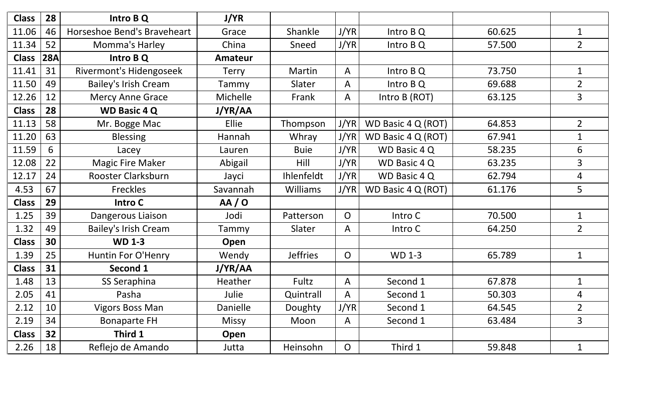| <b>Class</b> | 28  | Intro B Q                   | J/YR            |                   |                |                    |        |                |
|--------------|-----|-----------------------------|-----------------|-------------------|----------------|--------------------|--------|----------------|
| 11.06        | 46  | Horseshoe Bend's Braveheart | Grace           | Shankle           | J/YR           | Intro B Q          | 60.625 | $\mathbf{1}$   |
| 11.34        | 52  | Momma's Harley              | China           | Sneed             | J/YR           | Intro B Q          | 57.500 | $\overline{2}$ |
| <b>Class</b> | 28A | Intro B Q                   | <b>Amateur</b>  |                   |                |                    |        |                |
| 11.41        | 31  | Rivermont's Hidengoseek     | <b>Terry</b>    | Martin            | A              | Intro B Q          | 73.750 | $\mathbf{1}$   |
| 11.50        | 49  | <b>Bailey's Irish Cream</b> | Tammy           | Slater            | A              | Intro B Q          | 69.688 | $\overline{2}$ |
| 12.26        | 12  | <b>Mercy Anne Grace</b>     | Michelle        | Frank             | A              | Intro B (ROT)      | 63.125 | 3              |
| <b>Class</b> | 28  | <b>WD Basic 4 Q</b>         | J/YR/AA         |                   |                |                    |        |                |
| 11.13        | 58  | Mr. Bogge Mac               | Ellie           | Thompson          | J/YR           | WD Basic 4 Q (ROT) | 64.853 | $\overline{2}$ |
| 11.20        | 63  | <b>Blessing</b>             | Hannah          | Whray             | J/YR           | WD Basic 4 Q (ROT) | 67.941 | $\mathbf{1}$   |
| 11.59        | 6   | Lacey                       | Lauren          | <b>Buie</b>       | J/YR           | WD Basic 4 Q       | 58.235 | 6              |
| 12.08        | 22  | <b>Magic Fire Maker</b>     | Abigail         | Hill              | J/YR           | WD Basic 4 Q       | 63.235 | $\overline{3}$ |
| 12.17        | 24  | Rooster Clarksburn          | Jayci           | <b>Ihlenfeldt</b> | J/YR           | WD Basic 4 Q       | 62.794 | $\overline{4}$ |
| 4.53         | 67  | <b>Freckles</b>             | Savannah        | <b>Williams</b>   | J/YR           | WD Basic 4 Q (ROT) | 61.176 | 5              |
| <b>Class</b> | 29  | Intro C                     | AA/O            |                   |                |                    |        |                |
| 1.25         | 39  | Dangerous Liaison           | Jodi            | Patterson         | $\overline{O}$ | Intro C            | 70.500 | $\mathbf{1}$   |
| 1.32         | 49  | <b>Bailey's Irish Cream</b> | Tammy           | Slater            | A              | Intro C            | 64.250 | $2^{\circ}$    |
| <b>Class</b> | 30  | <b>WD 1-3</b>               | Open            |                   |                |                    |        |                |
| 1.39         | 25  | Huntin For O'Henry          | Wendy           | <b>Jeffries</b>   | $\overline{O}$ | <b>WD 1-3</b>      | 65.789 | $\mathbf{1}$   |
| <b>Class</b> | 31  | Second 1                    | J/YR/AA         |                   |                |                    |        |                |
| 1.48         | 13  | SS Seraphina                | Heather         | Fultz             | A              | Second 1           | 67.878 | $\mathbf{1}$   |
| 2.05         | 41  | Pasha                       | Julie           | Quintrall         | A              | Second 1           | 50.303 | 4              |
| 2.12         | 10  | <b>Vigors Boss Man</b>      | <b>Danielle</b> | Doughty           | J/YR           | Second 1           | 64.545 | $\overline{2}$ |
| 2.19         | 34  | <b>Bonaparte FH</b>         | <b>Missy</b>    | Moon              | $\mathsf{A}$   | Second 1           | 63.484 | $\mathbf{3}$   |
| <b>Class</b> | 32  | Third 1                     | Open            |                   |                |                    |        |                |
| 2.26         | 18  | Reflejo de Amando           | Jutta           | Heinsohn          | $\overline{O}$ | Third 1            | 59.848 | $\mathbf{1}$   |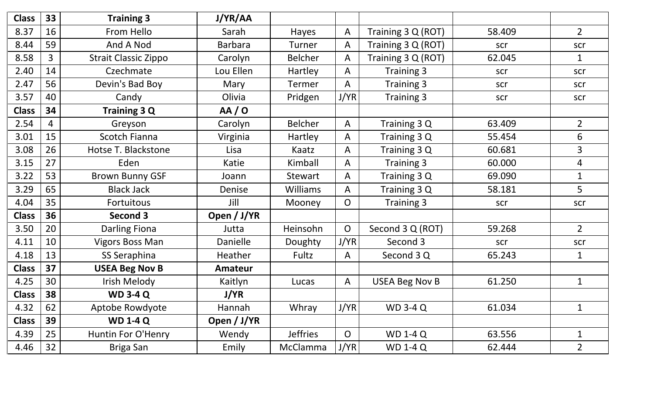| <b>Class</b> | 33             | <b>Training 3</b>           | J/YR/AA        |                 |                |                       |        |                |
|--------------|----------------|-----------------------------|----------------|-----------------|----------------|-----------------------|--------|----------------|
| 8.37         | 16             | From Hello                  | Sarah          | <b>Hayes</b>    | A              | Training 3 Q (ROT)    | 58.409 | $2^{\circ}$    |
| 8.44         | 59             | And A Nod                   | <b>Barbara</b> | Turner          | A              | Training 3 Q (ROT)    | scr    | scr            |
| 8.58         | $\overline{3}$ | <b>Strait Classic Zippo</b> | Carolyn        | <b>Belcher</b>  | A              | Training 3 Q (ROT)    | 62.045 | $\mathbf 1$    |
| 2.40         | 14             | Czechmate                   | Lou Ellen      | Hartley         | A              | Training 3            | scr    | scr            |
| 2.47         | 56             | Devin's Bad Boy             | Mary           | <b>Termer</b>   | A              | Training 3            | scr    | scr            |
| 3.57         | 40             | Candy                       | Olivia         | Pridgen         | J/YR           | Training 3            | scr    | scr            |
| <b>Class</b> | 34             | Training 3 Q                | AA/O           |                 |                |                       |        |                |
| 2.54         | 4              | Greyson                     | Carolyn        | <b>Belcher</b>  | A              | Training 3 Q          | 63.409 | $\overline{2}$ |
| 3.01         | 15             | Scotch Fianna               | Virginia       | <b>Hartley</b>  | A              | Training 3 Q          | 55.454 | 6              |
| 3.08         | 26             | Hotse T. Blackstone         | Lisa           | Kaatz           | A              | Training 3 Q          | 60.681 | $\overline{3}$ |
| 3.15         | 27             | Eden                        | Katie          | Kimball         | A              | Training 3            | 60.000 | $\overline{4}$ |
| 3.22         | 53             | <b>Brown Bunny GSF</b>      | Joann          | Stewart         | A              | Training 3 Q          | 69.090 | $\mathbf{1}$   |
| 3.29         | 65             | <b>Black Jack</b>           | Denise         | <b>Williams</b> | A              | Training 3 Q          | 58.181 | 5              |
| 4.04         | 35             | Fortuitous                  | Jill           | Mooney          | $\overline{O}$ | Training 3            | scr    | scr            |
| <b>Class</b> | 36             | Second 3                    | Open / J/YR    |                 |                |                       |        |                |
| 3.50         | 20             | <b>Darling Fiona</b>        | Jutta          | Heinsohn        | $\overline{O}$ | Second 3 Q (ROT)      | 59.268 | $2^{\circ}$    |
| 4.11         | 10             | <b>Vigors Boss Man</b>      | Danielle       | Doughty         | J/YR           | Second 3              | scr    | scr            |
| 4.18         | 13             | SS Seraphina                | Heather        | Fultz           | A              | Second 3 Q            | 65.243 | $\mathbf 1$    |
| <b>Class</b> | 37             | <b>USEA Beg Nov B</b>       | Amateur        |                 |                |                       |        |                |
| 4.25         | 30             | Irish Melody                | Kaitlyn        | Lucas           | A              | <b>USEA Beg Nov B</b> | 61.250 | $\mathbf{1}$   |
| <b>Class</b> | 38             | <b>WD 3-4 Q</b>             | J/YR           |                 |                |                       |        |                |
| 4.32         | 62             | Aptobe Rowdyote             | Hannah         | Whray           | J/YR           | <b>WD 3-4 Q</b>       | 61.034 | 1              |
| <b>Class</b> | 39             | <b>WD 1-4 Q</b>             | Open / J/YR    |                 |                |                       |        |                |
| 4.39         | 25             | Huntin For O'Henry          | Wendy          | <b>Jeffries</b> | $\overline{O}$ | <b>WD 1-4 Q</b>       | 63.556 | $\mathbf{1}$   |
| 4.46         | 32             | Briga San                   | Emily          | McClamma        | J/YR           | <b>WD 1-4 Q</b>       | 62.444 | $\overline{2}$ |